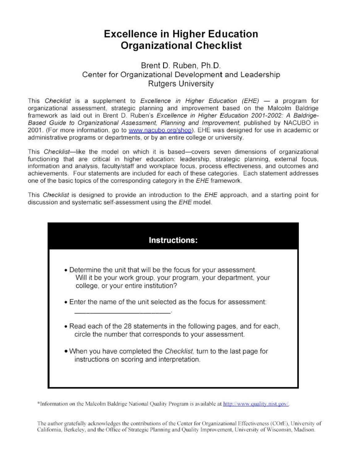## **Excellence in Higher Education Organizational Checklist**

### Brent **D.** Ruben, **Ph.D.**  Center for Organizational Development and Leadership Rutgers University

This Checklist is a supplement to Excellence in Higher Education  $(EHE)$  - a program for organizational assessment, strategic planning and improvement based on the Malcolm Baldrige framework as laid out in Brent D. Ruben's Excellence in Higher Education 2001-2002: A Baldrige-Based Guide to Organizational Assessment, Planning and Improvement, published by NACUBO in 2001. (For more information, go to www.nacubo.org/shop). EHE was designed for use in academic or administrative programs or departments, or by an entire college or university.

This Checklist-like the model on which it is based-covers seven dimensions of organizational functioning that are critical in higher education: leadership, strategic planning, external focus, information and analysis, faculty/staff and workplace focus, process effectiveness, and outcomes and achievements. Four statements are included for each of these categories. Each statement addresses one of the basic topics of the corresponding category in the EHE framework.

This Checklist is designed to provide an introduction to the EHE approach, and a starting point for discussion and systematic self-assessment using the EHE model.



\*Information on the Malcolm Baldrige National Quality Program is available at http://www.quality.nist.gov/.

The author gratefully acknowledges the contributions of the Center for Organizational Effectiveness (COrE), University of California, Berkeley, and the Office of Strategic Planning and Quality Improvement, University of Wisconsin, Madison.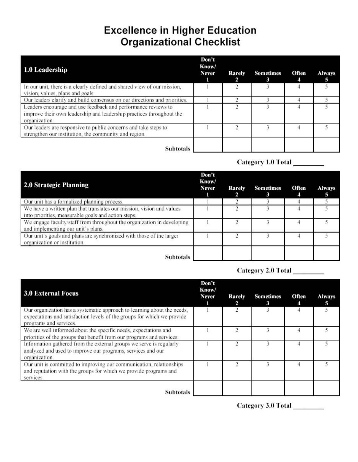# **Excellence in Higher Education Organizational Checklist**

| 1.0 Leadership                                                                                                                                         | Don't<br>Know/<br><b>Never</b> | Rarely | <b>Sometimes</b><br>3 | Often | <b>Always</b> |
|--------------------------------------------------------------------------------------------------------------------------------------------------------|--------------------------------|--------|-----------------------|-------|---------------|
| In our unit, there is a clearly defined and shared view of our mission,<br>vision, values, plans and goals.                                            |                                |        |                       |       |               |
| Our leaders clarify and build consensus on our directions and priorities.                                                                              |                                |        |                       |       |               |
| Leaders encourage and use feedback and performance reviews to<br>improve their own leadership and leadership practices throughout the<br>organization. |                                |        |                       |       |               |
| Our leaders are responsive to public concerns and take steps to<br>strengthen our institution, the community and region.                               |                                |        |                       |       |               |
| <b>Subtotals</b>                                                                                                                                       |                                |        |                       |       |               |

### Category 1.0 Total

| <b>2.0 Strategic Planning</b>                                                                                                | Don't<br>Know/<br>Never | Rarely | <b>Sometimes</b> | Often | <b>Always</b> |
|------------------------------------------------------------------------------------------------------------------------------|-------------------------|--------|------------------|-------|---------------|
| Our unit has a formalized planning process.                                                                                  |                         |        |                  |       |               |
| We have a written plan that translates our mission, vision and values<br>into priorities, measurable goals and action steps. |                         |        |                  |       |               |
| We engage faculty/staff from throughout the organization in developing<br>and implementing our unit's plans.                 |                         |        |                  |       |               |
| Our unit's goals and plans are synchronized with those of the larger<br>organization or institution.                         |                         |        |                  |       |               |
| <b>Subtotals</b>                                                                                                             |                         |        |                  |       |               |

## Category 2.0 Total

| <b>3.0 External Focus</b>                                                                                                                                                    | Don't<br>Know/<br><b>Never</b> | <b>Rarely</b><br>2 | <b>Sometimes</b> | Often | <b>Always</b><br>5 |
|------------------------------------------------------------------------------------------------------------------------------------------------------------------------------|--------------------------------|--------------------|------------------|-------|--------------------|
| Our organization has a systematic approach to learning about the needs,<br>expectations and satisfaction levels of the groups for which we provide<br>programs and services. |                                | 2                  | 3                |       |                    |
| We are well informed about the specific needs, expectations and<br>priorities of the groups that benefit from our programs and services.                                     |                                |                    |                  |       |                    |
| Information gathered from the external groups we serve is regularly<br>analyzed and used to improve our programs, services and our<br>organization.                          |                                |                    |                  |       |                    |
| Our unit is committed to improving our communication, relationships<br>and reputation with the groups for which we provide programs and<br>services.                         |                                |                    |                  |       |                    |
| <b>Subtotals</b>                                                                                                                                                             |                                |                    |                  |       |                    |

Category 3.0 Total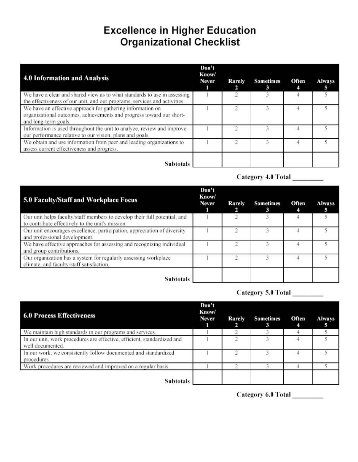# **Excellence in Higher Education Organizational Checklist**

| 4.0 Information and Analysis                                                                                                                               | Don't<br>Know/<br><b>Never</b> | <b>Rarely</b> | <b>Sometimes</b> | Often | <b>Always</b> |
|------------------------------------------------------------------------------------------------------------------------------------------------------------|--------------------------------|---------------|------------------|-------|---------------|
| We have a clear and shared view as to what standards to use in assessing<br>the effectiveness of our unit, and our programs, services and activities.      |                                |               |                  |       |               |
| We have an effective approach for gathering information on<br>organizational outcomes, achievements and progress toward our short-<br>and long-term goals. |                                |               |                  |       |               |
| Information is used throughout the unit to analyze, review and improve<br>our performance relative to our vision, plans and goals.                         |                                |               |                  |       |               |
| We obtain and use information from peer and leading organizations to<br>assess current effectiveness and progress.                                         |                                |               |                  |       |               |
| Subtotals                                                                                                                                                  |                                |               |                  |       |               |

Category 4.0 Total \_\_\_\_\_\_\_\_

| 5.0 Faculty/Staff and Workplace Focus                                                                                         | Don't<br>Know/<br><b>Never</b> | Rarely | <b>Sometimes</b><br>з | Often | <b>Always</b><br>s |
|-------------------------------------------------------------------------------------------------------------------------------|--------------------------------|--------|-----------------------|-------|--------------------|
| Our unit helps faculty/staff members to develop their full potential, and<br>to contribute effectively to the unit's mission. |                                |        |                       |       |                    |
| Our unit encourages excellence, participation, appreciation of diversity<br>and professional development.                     |                                |        |                       |       |                    |
| We have effective approaches for assessing and recognizing individual<br>and group contributions.                             |                                |        |                       |       |                    |
| Our organization has a system for regularly assessing workplace<br>climate, and faculty/staff satisfaction.                   |                                |        |                       |       |                    |
| <b>Subtotals</b>                                                                                                              |                                |        |                       |       |                    |

Category 5.0 Total

| <b>6.0 Process Effectiveness</b>                                                            | Don't<br>Know/<br><b>Never</b> | <b>Rarely</b> | <b>Sometimes</b><br>з | Often | <b>Always</b> |
|---------------------------------------------------------------------------------------------|--------------------------------|---------------|-----------------------|-------|---------------|
| We maintain high standards in our programs and services.                                    |                                |               |                       |       |               |
| In our unit, work procedures are effective, efficient, standardized and<br>well documented. |                                |               |                       |       |               |
| In our work, we consistently follow documented and standardized<br>procedures.              |                                |               |                       |       |               |
| Work procedures are reviewed and improved on a regular basis.                               |                                |               |                       |       |               |
| <b>Subtotals</b>                                                                            |                                |               |                       |       |               |

Category 6.0 Total